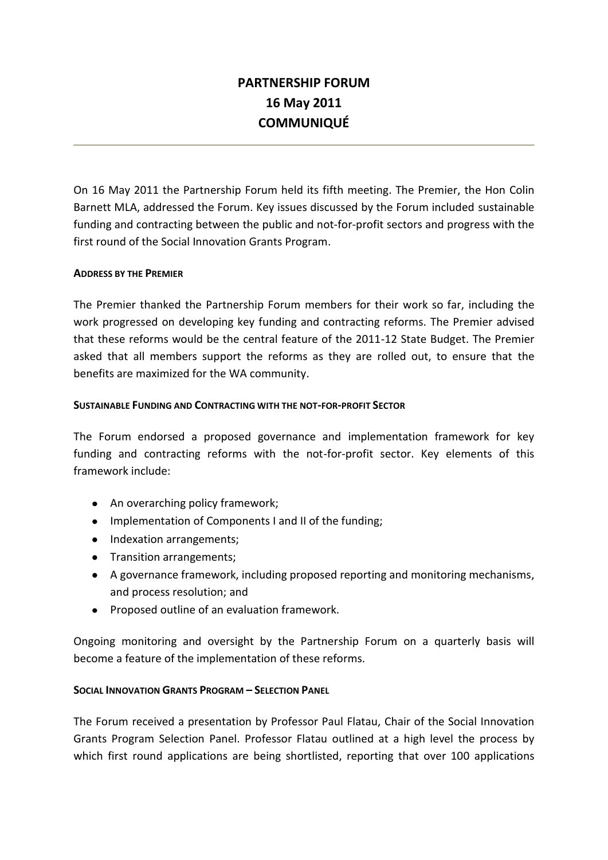# **PARTNERSHIP FORUM 16 May 2011 COMMUNIQUÉ**

On 16 May 2011 the Partnership Forum held its fifth meeting. The Premier, the Hon Colin Barnett MLA, addressed the Forum. Key issues discussed by the Forum included sustainable funding and contracting between the public and not-for-profit sectors and progress with the first round of the Social Innovation Grants Program.

## **ADDRESS BY THE PREMIER**

The Premier thanked the Partnership Forum members for their work so far, including the work progressed on developing key funding and contracting reforms. The Premier advised that these reforms would be the central feature of the 2011-12 State Budget. The Premier asked that all members support the reforms as they are rolled out, to ensure that the benefits are maximized for the WA community.

#### **SUSTAINABLE FUNDING AND CONTRACTING WITH THE NOT-FOR-PROFIT SECTOR**

The Forum endorsed a proposed governance and implementation framework for key funding and contracting reforms with the not-for-profit sector. Key elements of this framework include:

- An overarching policy framework;
- Implementation of Components I and II of the funding;
- Indexation arrangements;
- Transition arrangements;
- A governance framework, including proposed reporting and monitoring mechanisms, and process resolution; and
- Proposed outline of an evaluation framework.

Ongoing monitoring and oversight by the Partnership Forum on a quarterly basis will become a feature of the implementation of these reforms.

#### **SOCIAL INNOVATION GRANTS PROGRAM – SELECTION PANEL**

The Forum received a presentation by Professor Paul Flatau, Chair of the Social Innovation Grants Program Selection Panel. Professor Flatau outlined at a high level the process by which first round applications are being shortlisted, reporting that over 100 applications